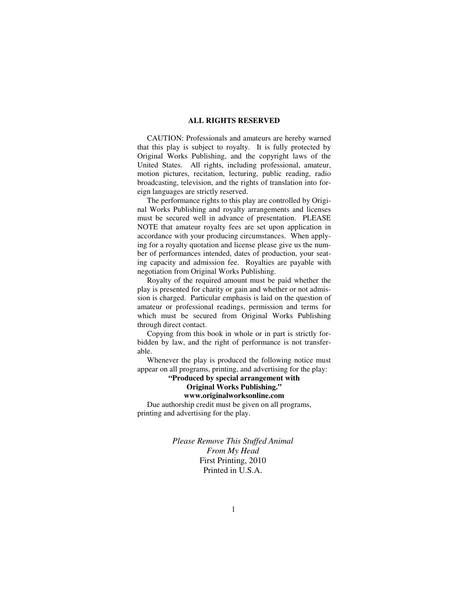#### **ALL RIGHTS RESERVED**

 CAUTION: Professionals and amateurs are hereby warned that this play is subject to royalty. It is fully protected by Original Works Publishing, and the copyright laws of the United States. All rights, including professional, amateur, motion pictures, recitation, lecturing, public reading, radio broadcasting, television, and the rights of translation into foreign languages are strictly reserved.

 The performance rights to this play are controlled by Original Works Publishing and royalty arrangements and licenses must be secured well in advance of presentation. PLEASE NOTE that amateur royalty fees are set upon application in accordance with your producing circumstances. When applying for a royalty quotation and license please give us the number of performances intended, dates of production, your seating capacity and admission fee. Royalties are payable with negotiation from Original Works Publishing.

 Royalty of the required amount must be paid whether the play is presented for charity or gain and whether or not admission is charged. Particular emphasis is laid on the question of amateur or professional readings, permission and terms for which must be secured from Original Works Publishing through direct contact.

 Copying from this book in whole or in part is strictly forbidden by law, and the right of performance is not transferable.

 Whenever the play is produced the following notice must appear on all programs, printing, and advertising for the play:

**"Produced by special arrangement with Original Works Publishing."** 

### **www.originalworksonline.com**

 Due authorship credit must be given on all programs, printing and advertising for the play.

> *Please Remove This Stuffed Animal From My Head*  First Printing, 2010 Printed in U.S.A.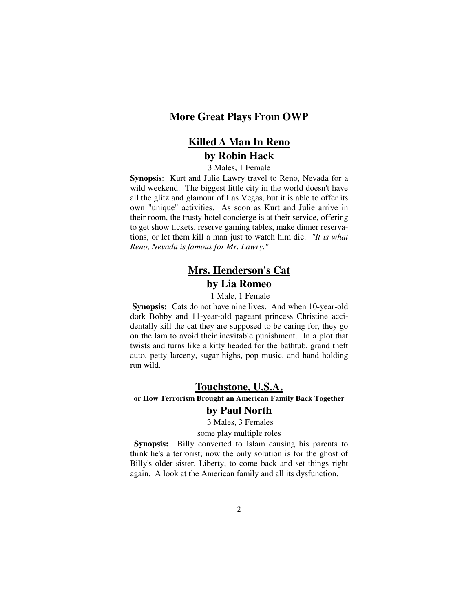### **More Great Plays From OWP**

## **Killed A Man In Reno by Robin Hack**

#### 3 Males, 1 Female

**Synopsis**: Kurt and Julie Lawry travel to Reno, Nevada for a wild weekend. The biggest little city in the world doesn't have all the glitz and glamour of Las Vegas, but it is able to offer its own "unique" activities. As soon as Kurt and Julie arrive in their room, the trusty hotel concierge is at their service, offering to get show tickets, reserve gaming tables, make dinner reservations, or let them kill a man just to watch him die. *"It is what Reno, Nevada is famous for Mr. Lawry."* 

# **Mrs. Henderson's Cat by Lia Romeo**

1 Male, 1 Female

**Synopsis:** Cats do not have nine lives. And when 10-year-old dork Bobby and 11-year-old pageant princess Christine accidentally kill the cat they are supposed to be caring for, they go on the lam to avoid their inevitable punishment. In a plot that twists and turns like a kitty headed for the bathtub, grand theft auto, petty larceny, sugar highs, pop music, and hand holding run wild.

### **Touchstone, U.S.A. or How Terrorism Brought an American Family Back Together**

### **by Paul North**

3 Males, 3 Females

some play multiple roles

**Synopsis:** Billy converted to Islam causing his parents to think he's a terrorist; now the only solution is for the ghost of Billy's older sister, Liberty, to come back and set things right again. A look at the American family and all its dysfunction.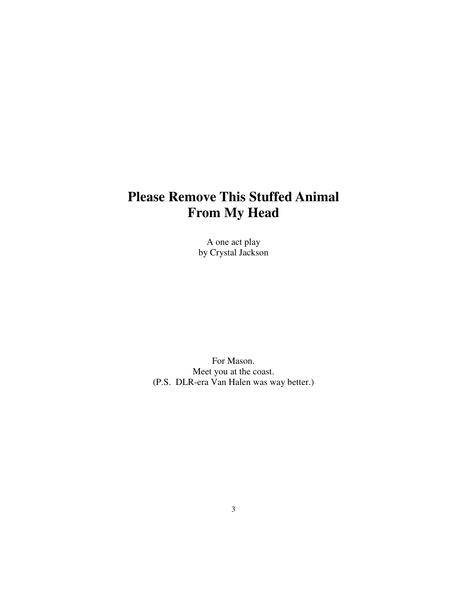# **Please Remove This Stuffed Animal From My Head**

A one act play by Crystal Jackson

For Mason. Meet you at the coast. (P.S. DLR-era Van Halen was way better.)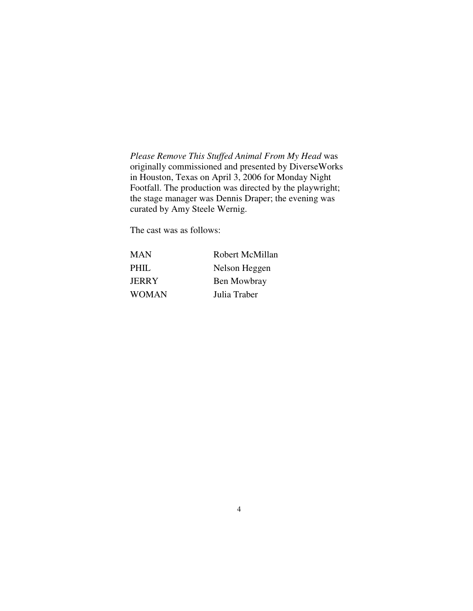*Please Remove This Stuffed Animal From My Head* was originally commissioned and presented by DiverseWorks in Houston, Texas on April 3, 2006 for Monday Night Footfall. The production was directed by the playwright; the stage manager was Dennis Draper; the evening was curated by Amy Steele Wernig.

The cast was as follows:

| <b>MAN</b>   | Robert McMillan |
|--------------|-----------------|
| PHIL.        | Nelson Heggen   |
| <b>JERRY</b> | Ben Mowbray     |
| <b>WOMAN</b> | Julia Traber    |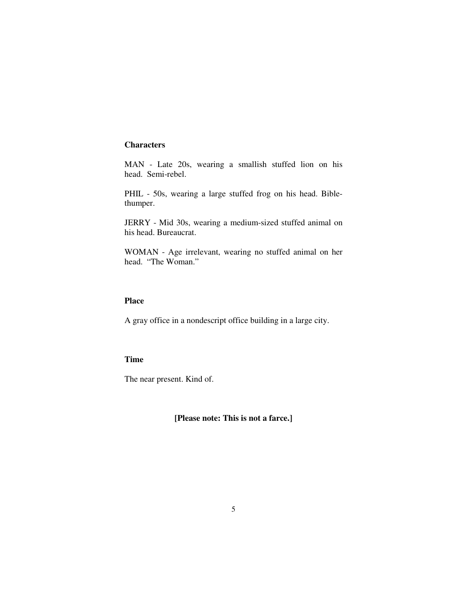### **Characters**

MAN - Late 20s, wearing a smallish stuffed lion on his head. Semi-rebel.

PHIL - 50s, wearing a large stuffed frog on his head. Biblethumper.

JERRY - Mid 30s, wearing a medium-sized stuffed animal on his head. Bureaucrat.

WOMAN - Age irrelevant, wearing no stuffed animal on her head. "The Woman."

### **Place**

A gray office in a nondescript office building in a large city.

### **Time**

The near present. Kind of.

**[Please note: This is not a farce.]**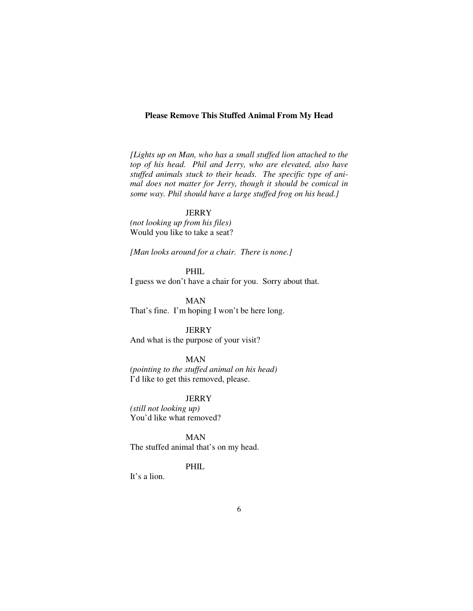#### **Please Remove This Stuffed Animal From My Head**

*[Lights up on Man, who has a small stuffed lion attached to the top of his head. Phil and Jerry, who are elevated, also have stuffed animals stuck to their heads. The specific type of animal does not matter for Jerry, though it should be comical in some way. Phil should have a large stuffed frog on his head.]* 

**JERRY** 

*(not looking up from his files)* Would you like to take a seat?

*[Man looks around for a chair. There is none.]* 

PHIL

I guess we don't have a chair for you. Sorry about that.

 MAN That's fine. I'm hoping I won't be here long.

**JERRY** 

And what is the purpose of your visit?

MAN

*(pointing to the stuffed animal on his head)* I'd like to get this removed, please.

**JERRY** 

*(still not looking up)* You'd like what removed?

 MAN The stuffed animal that's on my head.

### PHIL

It's a lion.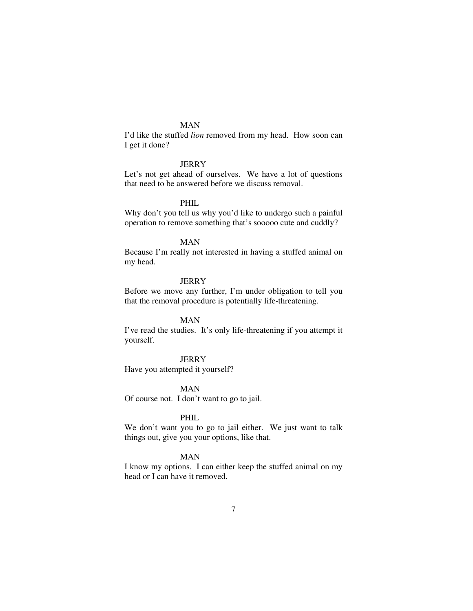I'd like the stuffed *lion* removed from my head. How soon can I get it done?

#### JERRY

Let's not get ahead of ourselves. We have a lot of questions that need to be answered before we discuss removal.

#### PHIL

Why don't you tell us why you'd like to undergo such a painful operation to remove something that's sooooo cute and cuddly?

#### MAN

Because I'm really not interested in having a stuffed animal on my head.

### **JERRY**

Before we move any further, I'm under obligation to tell you that the removal procedure is potentially life-threatening.

#### MAN

I've read the studies. It's only life-threatening if you attempt it yourself.

#### **JERRY**

Have you attempted it yourself?

#### MAN

Of course not. I don't want to go to jail.

#### PHIL

We don't want you to go to jail either. We just want to talk things out, give you your options, like that.

#### MAN

I know my options. I can either keep the stuffed animal on my head or I can have it removed.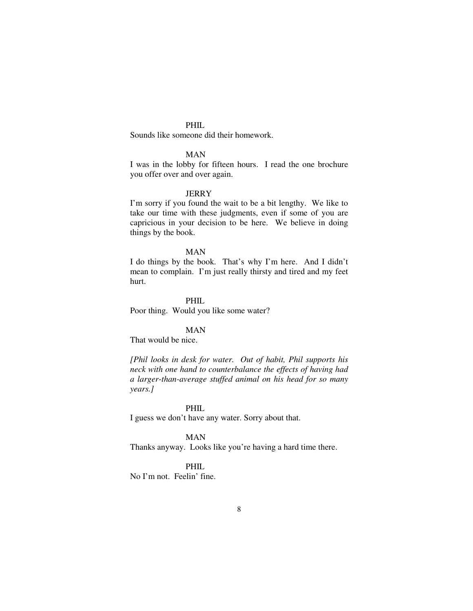### PHIL.

Sounds like someone did their homework.

### MAN

I was in the lobby for fifteen hours. I read the one brochure you offer over and over again.

#### **JERRY**

I'm sorry if you found the wait to be a bit lengthy. We like to take our time with these judgments, even if some of you are capricious in your decision to be here. We believe in doing things by the book.

### MAN

I do things by the book. That's why I'm here. And I didn't mean to complain. I'm just really thirsty and tired and my feet hurt.

 PHIL Poor thing. Would you like some water?

### MAN

That would be nice.

*[Phil looks in desk for water. Out of habit, Phil supports his neck with one hand to counterbalance the effects of having had a larger-than-average stuffed animal on his head for so many years.]* 

#### PHIL

I guess we don't have any water. Sorry about that.

#### MAN

Thanks anyway. Looks like you're having a hard time there.

#### PHIL

No I'm not. Feelin' fine.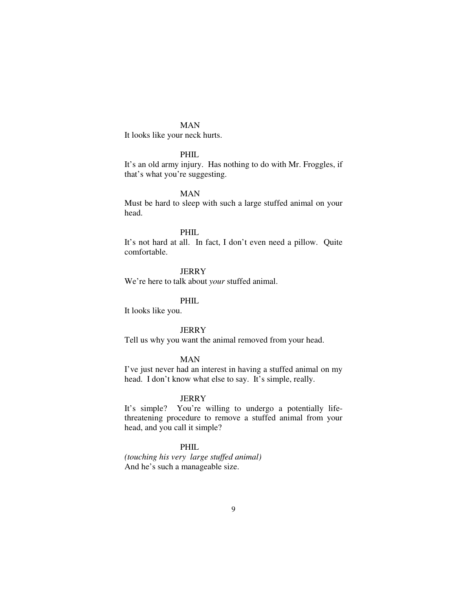It looks like your neck hurts.

### PHIL

It's an old army injury. Has nothing to do with Mr. Froggles, if that's what you're suggesting.

#### MAN

Must be hard to sleep with such a large stuffed animal on your head.

#### PHIL

It's not hard at all. In fact, I don't even need a pillow. Quite comfortable.

### **JERRY**

We're here to talk about *your* stuffed animal.

### PHIL

It looks like you.

#### **JERRY**

Tell us why you want the animal removed from your head.

### MAN

I've just never had an interest in having a stuffed animal on my head. I don't know what else to say. It's simple, really.

#### **JERRY**

It's simple? You're willing to undergo a potentially lifethreatening procedure to remove a stuffed animal from your head, and you call it simple?

### PHIL

*(touching his very large stuffed animal)* And he's such a manageable size.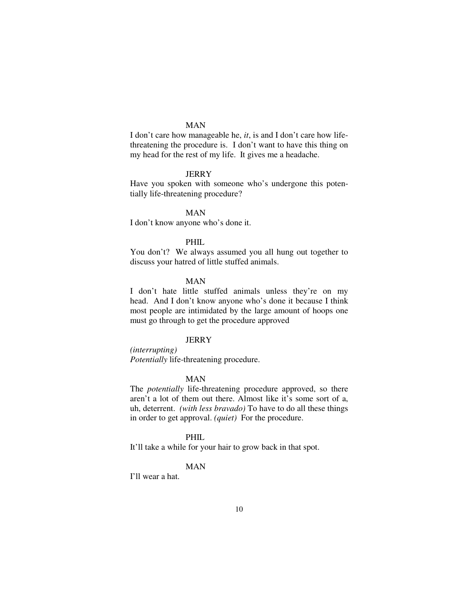I don't care how manageable he, *it*, is and I don't care how lifethreatening the procedure is. I don't want to have this thing on my head for the rest of my life. It gives me a headache.

### **JERRY**

Have you spoken with someone who's undergone this potentially life-threatening procedure?

MAN

I don't know anyone who's done it.

#### PHIL

You don't? We always assumed you all hung out together to discuss your hatred of little stuffed animals.

#### MAN

I don't hate little stuffed animals unless they're on my head. And I don't know anyone who's done it because I think most people are intimidated by the large amount of hoops one must go through to get the procedure approved

### **JERRY**

*(interrupting) Potentially* life-threatening procedure.

#### MAN

The *potentially* life-threatening procedure approved, so there aren't a lot of them out there. Almost like it's some sort of a, uh, deterrent. *(with less bravado)* To have to do all these things in order to get approval. *(quiet)* For the procedure.

#### PHIL

It'll take a while for your hair to grow back in that spot.

### MAN

I'll wear a hat.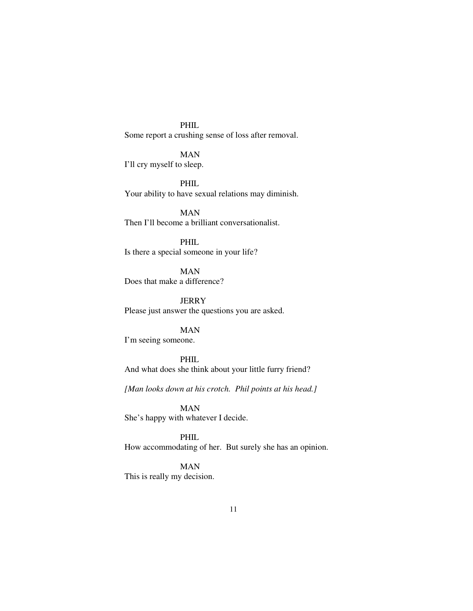PHIL Some report a crushing sense of loss after removal.

 MAN I'll cry myself to sleep.

 PHIL Your ability to have sexual relations may diminish.

 MAN Then I'll become a brilliant conversationalist.

 PHIL Is there a special someone in your life?

 MAN Does that make a difference?

**JERRY** Please just answer the questions you are asked.

 MAN I'm seeing someone.

 PHIL And what does she think about your little furry friend?

*[Man looks down at his crotch. Phil points at his head.]* 

 MAN She's happy with whatever I decide.

 PHIL How accommodating of her. But surely she has an opinion.

 MAN This is really my decision.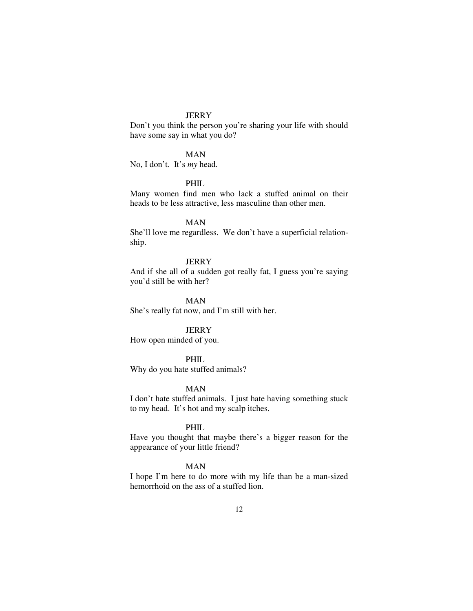### **JERRY**

Don't you think the person you're sharing your life with should have some say in what you do?

### MAN

No, I don't. It's *my* head.

### PHIL

Many women find men who lack a stuffed animal on their heads to be less attractive, less masculine than other men.

#### MAN

She'll love me regardless. We don't have a superficial relationship.

#### **JERRY**

And if she all of a sudden got really fat, I guess you're saying you'd still be with her?

 MAN She's really fat now, and I'm still with her.

#### **JERRY**

How open minded of you.

### PHIL.

Why do you hate stuffed animals?

#### MAN

I don't hate stuffed animals. I just hate having something stuck to my head. It's hot and my scalp itches.

#### PHIL

Have you thought that maybe there's a bigger reason for the appearance of your little friend?

### MAN

I hope I'm here to do more with my life than be a man-sized hemorrhoid on the ass of a stuffed lion.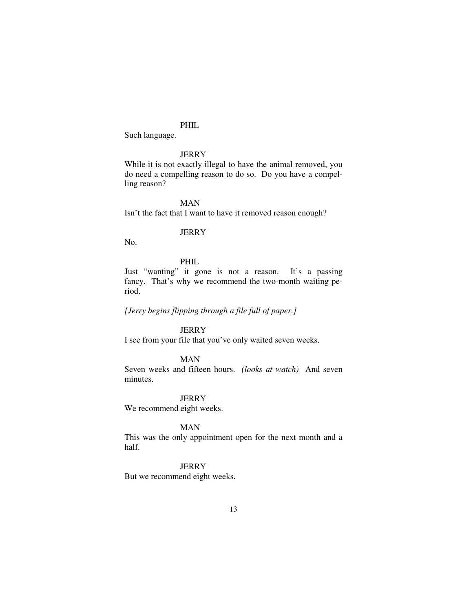### PHIL.

Such language.

### **JERRY**

While it is not exactly illegal to have the animal removed, you do need a compelling reason to do so. Do you have a compelling reason?

MAN

Isn't the fact that I want to have it removed reason enough?

#### **JERRY**

No.

### PHIL

Just "wanting" it gone is not a reason. It's a passing fancy. That's why we recommend the two-month waiting period.

*[Jerry begins flipping through a file full of paper.]* 

#### **JERRY**

I see from your file that you've only waited seven weeks.

### MAN

Seven weeks and fifteen hours. *(looks at watch)* And seven minutes.

**JERRY** 

We recommend eight weeks.

#### MAN

This was the only appointment open for the next month and a half.

#### **JERRY**

But we recommend eight weeks.